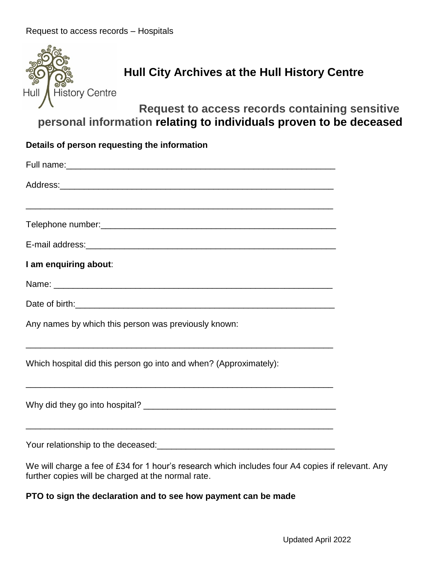| <b>History Centre</b><br>Hull                                      | Hull City Archives at the Hull History Centre<br>Request to access records containing sensitive  |  |  |
|--------------------------------------------------------------------|--------------------------------------------------------------------------------------------------|--|--|
| personal information relating to individuals proven to be deceased |                                                                                                  |  |  |
| Details of person requesting the information                       |                                                                                                  |  |  |
|                                                                    |                                                                                                  |  |  |
|                                                                    |                                                                                                  |  |  |
|                                                                    |                                                                                                  |  |  |
|                                                                    |                                                                                                  |  |  |
| I am enquiring about:                                              |                                                                                                  |  |  |
|                                                                    |                                                                                                  |  |  |
|                                                                    |                                                                                                  |  |  |
|                                                                    | Any names by which this person was previously known:                                             |  |  |
| Which hospital did this person go into and when? (Approximately):  |                                                                                                  |  |  |
|                                                                    |                                                                                                  |  |  |
|                                                                    |                                                                                                  |  |  |
| further copies will be charged at the normal rate.                 | We will charge a fee of £34 for 1 hour's research which includes four A4 copies if relevant. Any |  |  |

## **PTO to sign the declaration and to see how payment can be made**